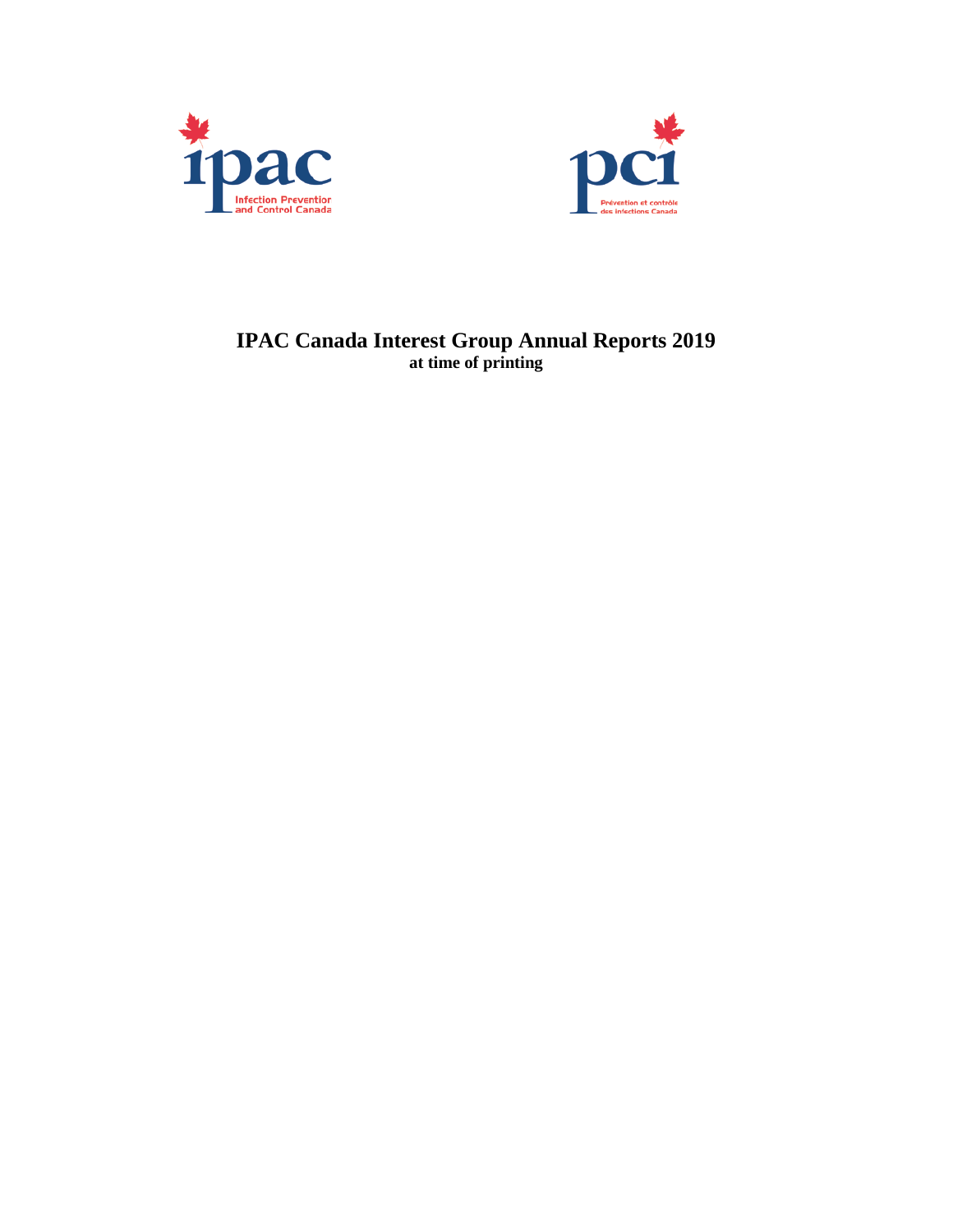



# **IPAC Canada Interest Group Annual Reports 2019 at time of printing**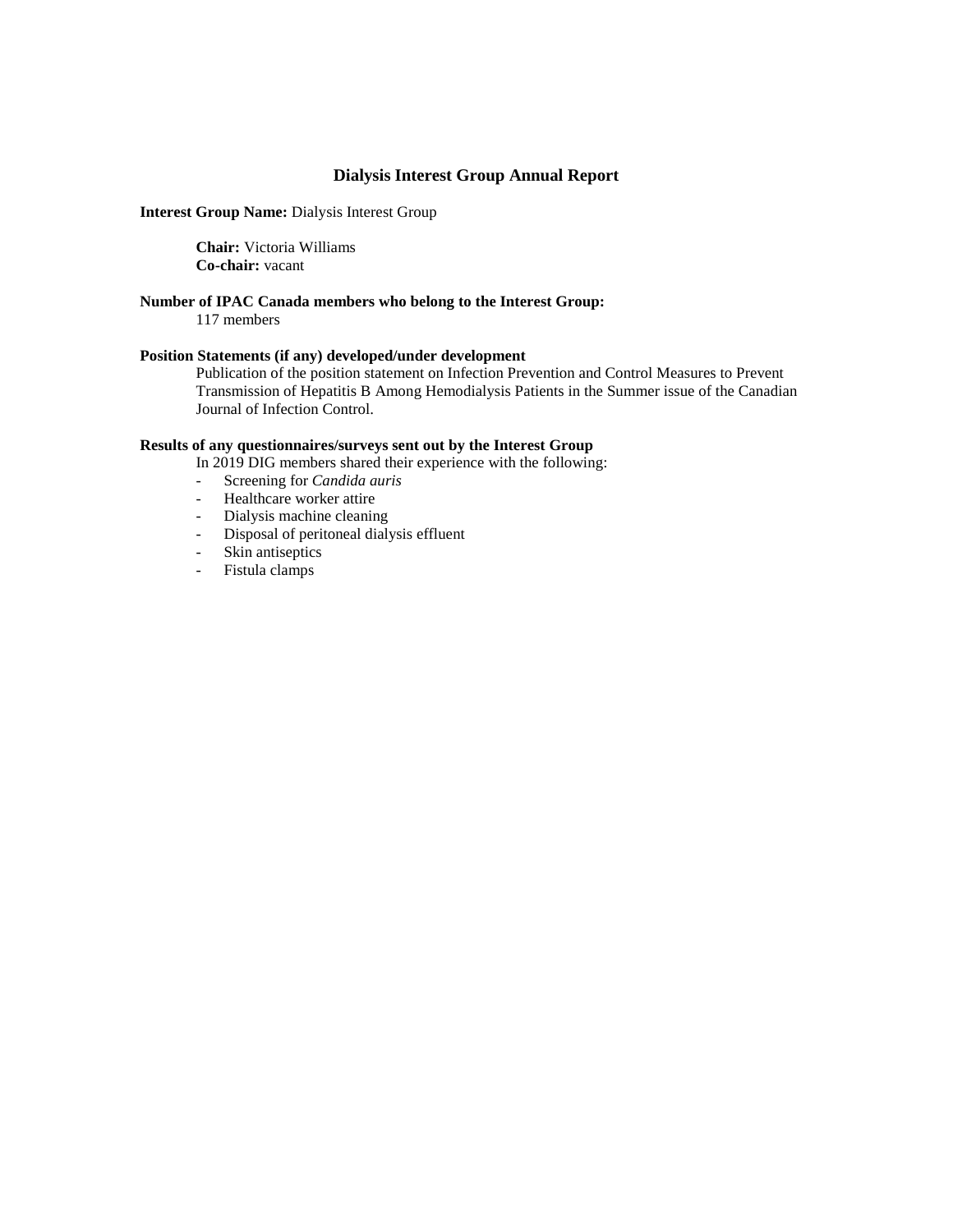### **Dialysis Interest Group Annual Report**

**Interest Group Name:** Dialysis Interest Group

**Chair:** Victoria Williams **Co-chair:** vacant

#### **Number of IPAC Canada members who belong to the Interest Group:** 117 members

### **Position Statements (if any) developed/under development**

Publication of the position statement on Infection Prevention and Control Measures to Prevent Transmission of Hepatitis B Among Hemodialysis Patients in the Summer issue of the Canadian Journal of Infection Control.

# **Results of any questionnaires/surveys sent out by the Interest Group**

In 2019 DIG members shared their experience with the following:

- Screening for *Candida auris*
- Healthcare worker attire<br>- Dialysis machine cleanin
- Dialysis machine cleaning<br>- Disposal of peritoneal dialy
- Disposal of peritoneal dialysis effluent
- Skin antiseptics
- Fistula clamps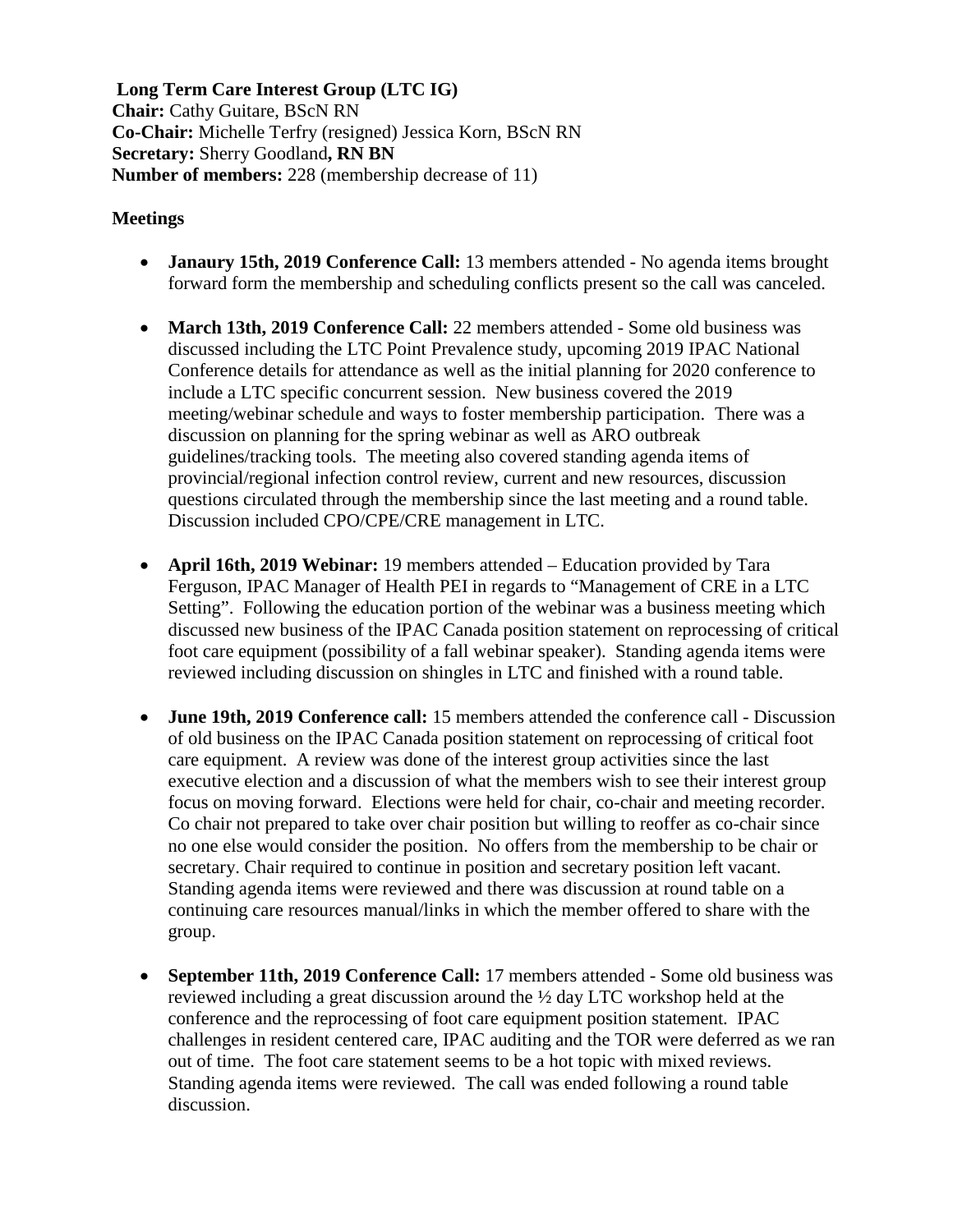**Long Term Care Interest Group (LTC IG) Chair:** Cathy Guitare, BScN RN **Co-Chair:** Michelle Terfry (resigned) Jessica Korn, BScN RN **Secretary:** Sherry Goodland**, RN BN Number of members:** 228 (membership decrease of 11)

# **Meetings**

- **Janaury 15th, 2019 Conference Call:** 13 members attended No agenda items brought forward form the membership and scheduling conflicts present so the call was canceled.
- **March 13th, 2019 Conference Call:** 22 members attended Some old business was discussed including the LTC Point Prevalence study, upcoming 2019 IPAC National Conference details for attendance as well as the initial planning for 2020 conference to include a LTC specific concurrent session. New business covered the 2019 meeting/webinar schedule and ways to foster membership participation. There was a discussion on planning for the spring webinar as well as ARO outbreak guidelines/tracking tools. The meeting also covered standing agenda items of provincial/regional infection control review, current and new resources, discussion questions circulated through the membership since the last meeting and a round table. Discussion included CPO/CPE/CRE management in LTC.
- **April 16th, 2019 Webinar:** 19 members attended Education provided by Tara Ferguson, IPAC Manager of Health PEI in regards to "Management of CRE in a LTC Setting". Following the education portion of the webinar was a business meeting which discussed new business of the IPAC Canada position statement on reprocessing of critical foot care equipment (possibility of a fall webinar speaker). Standing agenda items were reviewed including discussion on shingles in LTC and finished with a round table.
- **June 19th, 2019 Conference call:** 15 members attended the conference call Discussion of old business on the IPAC Canada position statement on reprocessing of critical foot care equipment. A review was done of the interest group activities since the last executive election and a discussion of what the members wish to see their interest group focus on moving forward. Elections were held for chair, co-chair and meeting recorder. Co chair not prepared to take over chair position but willing to reoffer as co-chair since no one else would consider the position. No offers from the membership to be chair or secretary. Chair required to continue in position and secretary position left vacant. Standing agenda items were reviewed and there was discussion at round table on a continuing care resources manual/links in which the member offered to share with the group.
- **September 11th, 2019 Conference Call:** 17 members attended Some old business was reviewed including a great discussion around the ½ day LTC workshop held at the conference and the reprocessing of foot care equipment position statement. IPAC challenges in resident centered care, IPAC auditing and the TOR were deferred as we ran out of time. The foot care statement seems to be a hot topic with mixed reviews. Standing agenda items were reviewed. The call was ended following a round table discussion.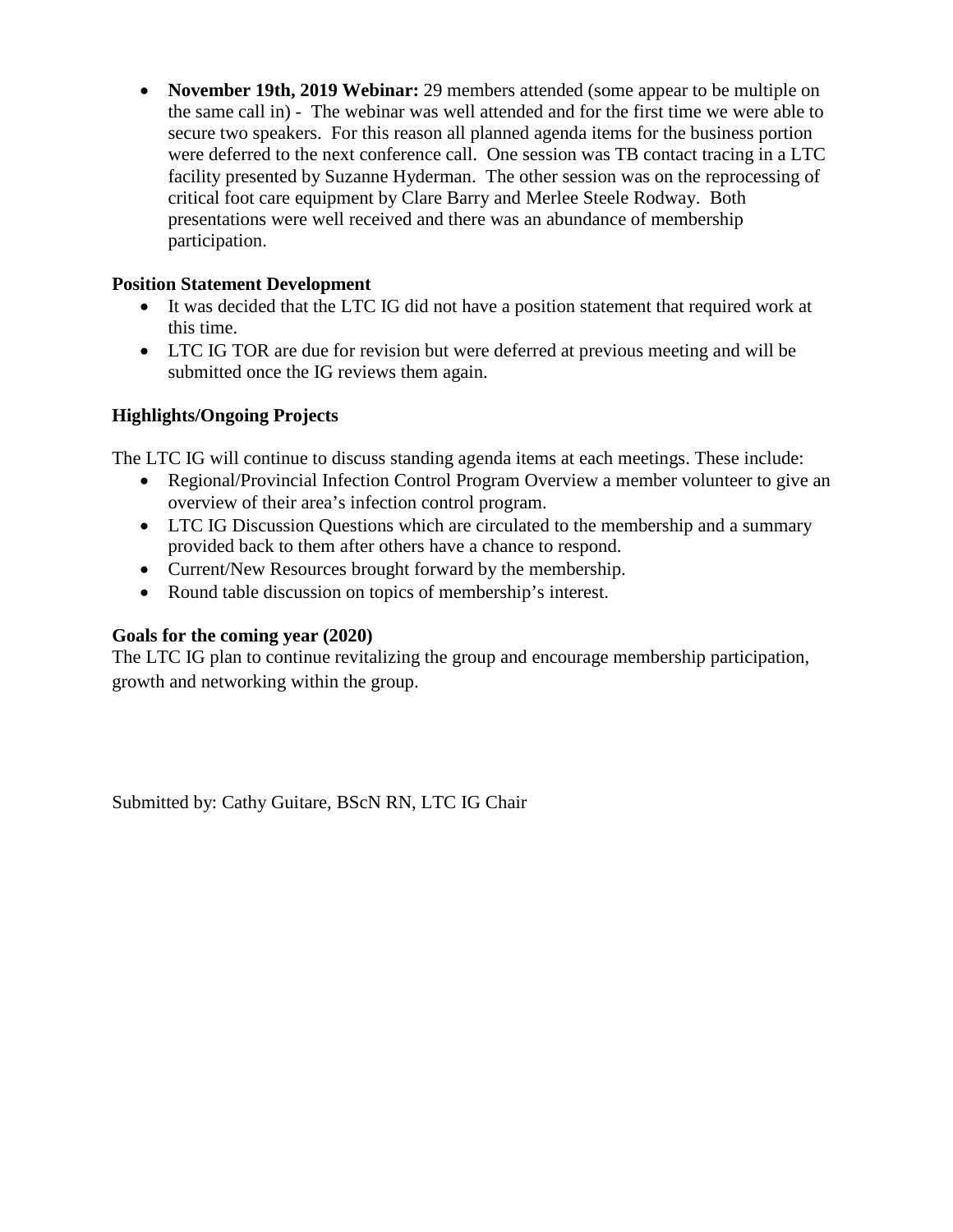• **November 19th, 2019 Webinar:** 29 members attended (some appear to be multiple on the same call in) - The webinar was well attended and for the first time we were able to secure two speakers. For this reason all planned agenda items for the business portion were deferred to the next conference call. One session was TB contact tracing in a LTC facility presented by Suzanne Hyderman. The other session was on the reprocessing of critical foot care equipment by Clare Barry and Merlee Steele Rodway. Both presentations were well received and there was an abundance of membership participation.

# **Position Statement Development**

- It was decided that the LTC IG did not have a position statement that required work at this time.
- LTC IG TOR are due for revision but were deferred at previous meeting and will be submitted once the IG reviews them again.

# **Highlights/Ongoing Projects**

The LTC IG will continue to discuss standing agenda items at each meetings. These include:

- Regional/Provincial Infection Control Program Overview a member volunteer to give an overview of their area's infection control program.
- LTC IG Discussion Questions which are circulated to the membership and a summary provided back to them after others have a chance to respond.
- Current/New Resources brought forward by the membership.
- Round table discussion on topics of membership's interest.

# **Goals for the coming year (2020)**

The LTC IG plan to continue revitalizing the group and encourage membership participation, growth and networking within the group.

Submitted by: Cathy Guitare, BScN RN, LTC IG Chair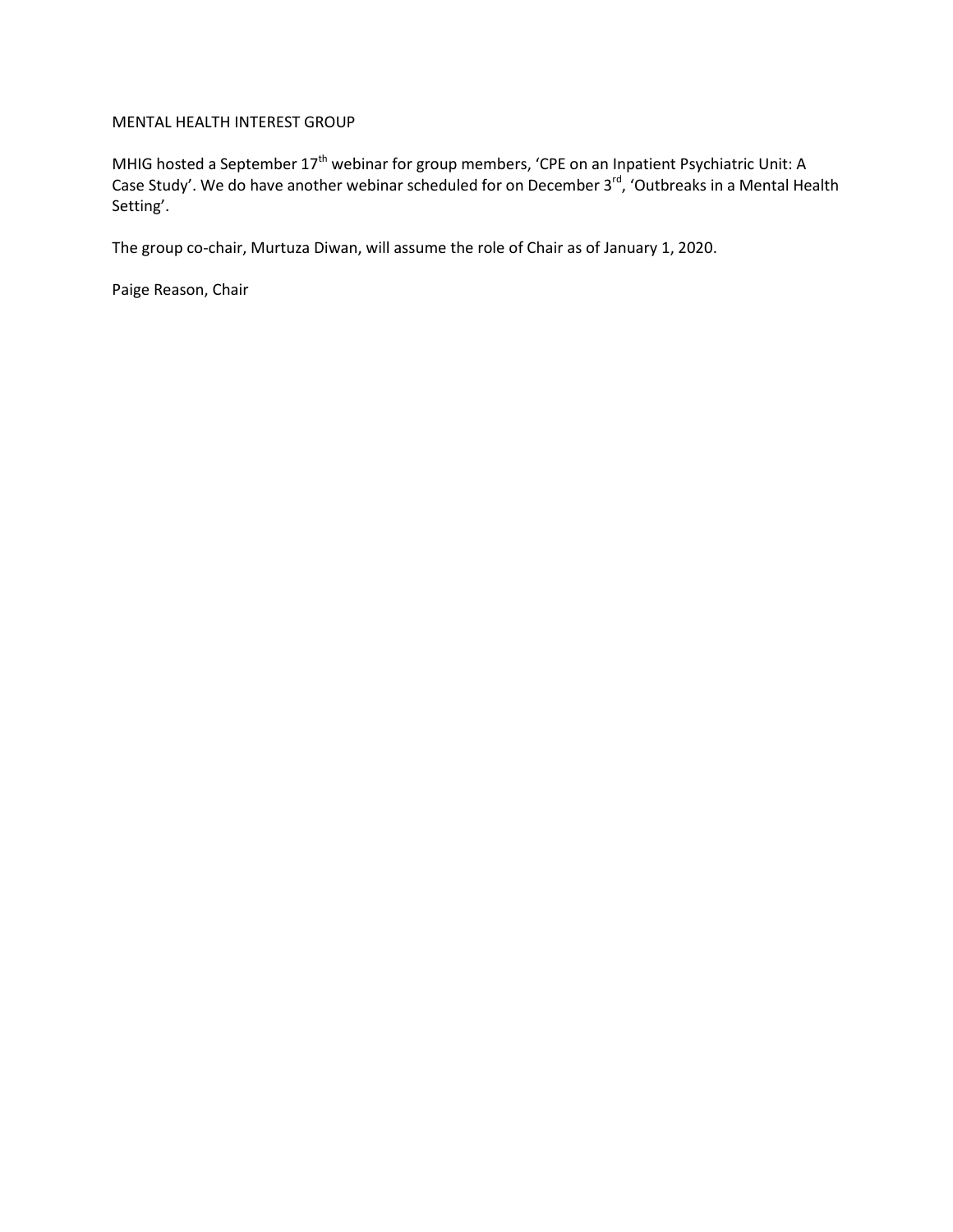# MENTAL HEALTH INTEREST GROUP

MHIG hosted a September  $17<sup>th</sup>$  webinar for group members, 'CPE on an Inpatient Psychiatric Unit: A Case Study'. We do have another webinar scheduled for on December 3<sup>rd</sup>, 'Outbreaks in a Mental Health Setting'.

The group co-chair, Murtuza Diwan, will assume the role of Chair as of January 1, 2020.

Paige Reason, Chair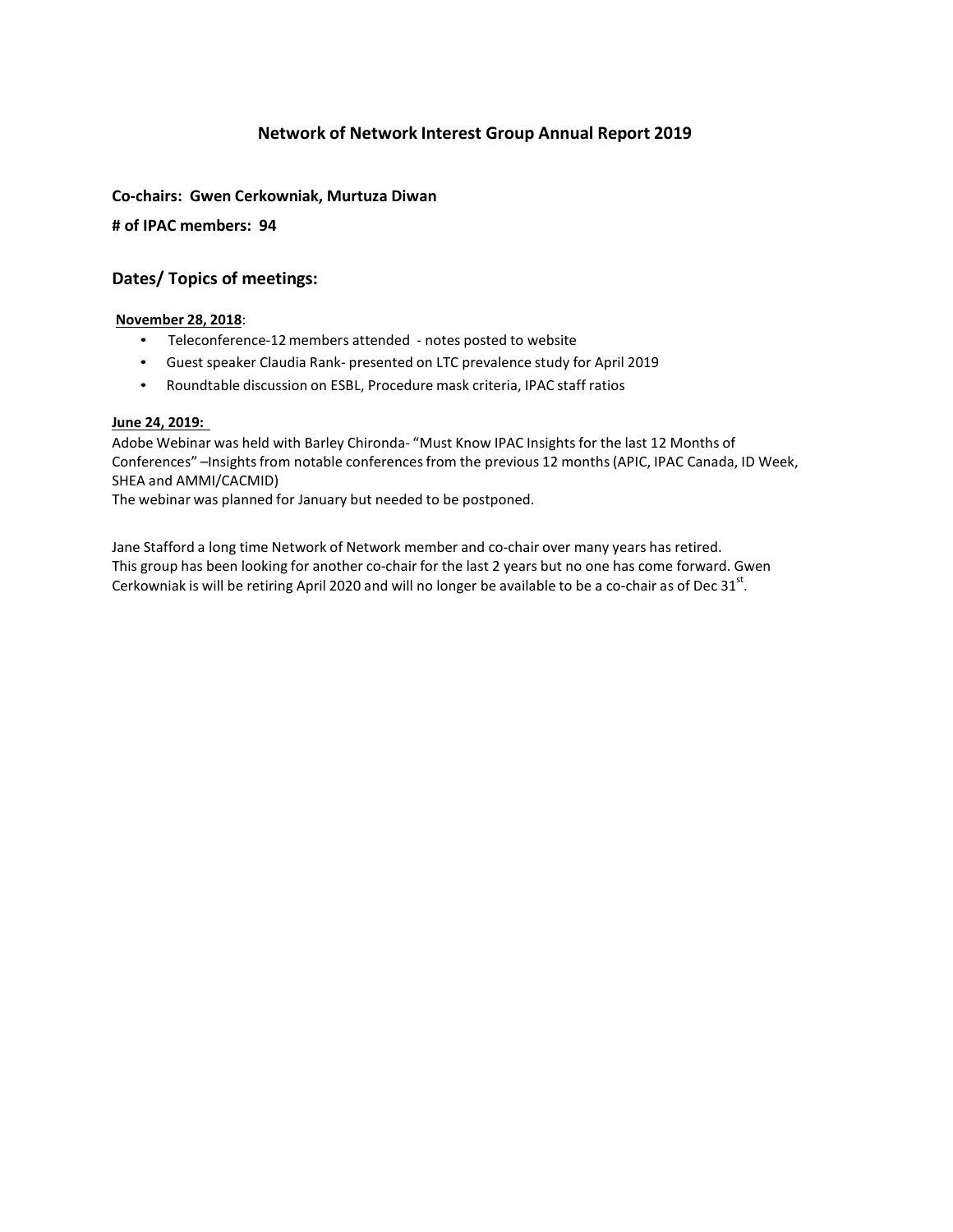# **Network of Network Interest Group Annual Report 2019**

# **Co-chairs: Gwen Cerkowniak, Murtuza Diwan**

**# of IPAC members: 94**

# **Dates/ Topics of meetings:**

### **November 28, 2018**:

- Teleconference-12members attended notes posted to website
- Guest speaker Claudia Rank- presented on LTC prevalence study for April 2019
- Roundtable discussion on ESBL, Procedure mask criteria, IPAC staff ratios

### **June 24, 2019:**

Adobe Webinar was held with Barley Chironda- "Must Know IPAC Insights for the last 12 Months of Conferences" -Insights from notable conferences from the previous 12 months (APIC, IPAC Canada, ID Week, SHEA and AMMI/CACMID)

The webinar was planned for January but needed to be postponed.

Jane Stafford a long time Network of Network member and co-chair over many years has retired. This group has been looking for another co-chair for the last 2 years but no one has come forward. Gwen Cerkowniak is will be retiring April 2020 and will no longer be available to be a co-chair as of Dec 31 $^{\rm st}$ .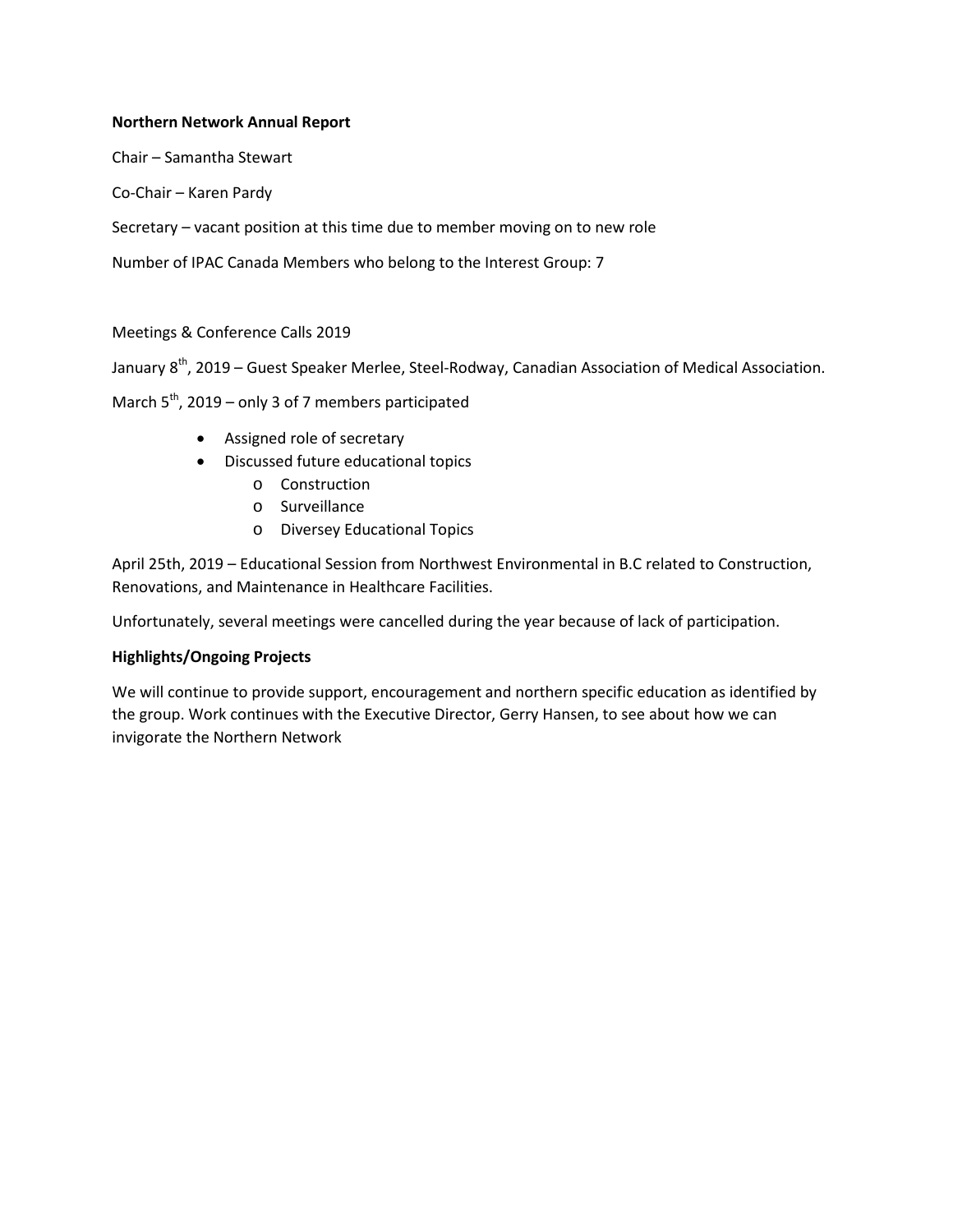# **Northern Network Annual Report**

Chair – Samantha Stewart

Co-Chair – Karen Pardy

Secretary – vacant position at this time due to member moving on to new role

Number of IPAC Canada Members who belong to the Interest Group: 7

# Meetings & Conference Calls 2019

January 8<sup>th</sup>, 2019 – Guest Speaker Merlee, Steel-Rodway, Canadian Association of Medical Association.

March  $5^{th}$ , 2019 – only 3 of 7 members participated

- Assigned role of secretary
- Discussed future educational topics
	- o Construction
	- o Surveillance
	- o Diversey Educational Topics

April 25th, 2019 – Educational Session from Northwest Environmental in B.C related to Construction, Renovations, and Maintenance in Healthcare Facilities.

Unfortunately, several meetings were cancelled during the year because of lack of participation.

# **Highlights/Ongoing Projects**

We will continue to provide support, encouragement and northern specific education as identified by the group. Work continues with the Executive Director, Gerry Hansen, to see about how we can invigorate the Northern Network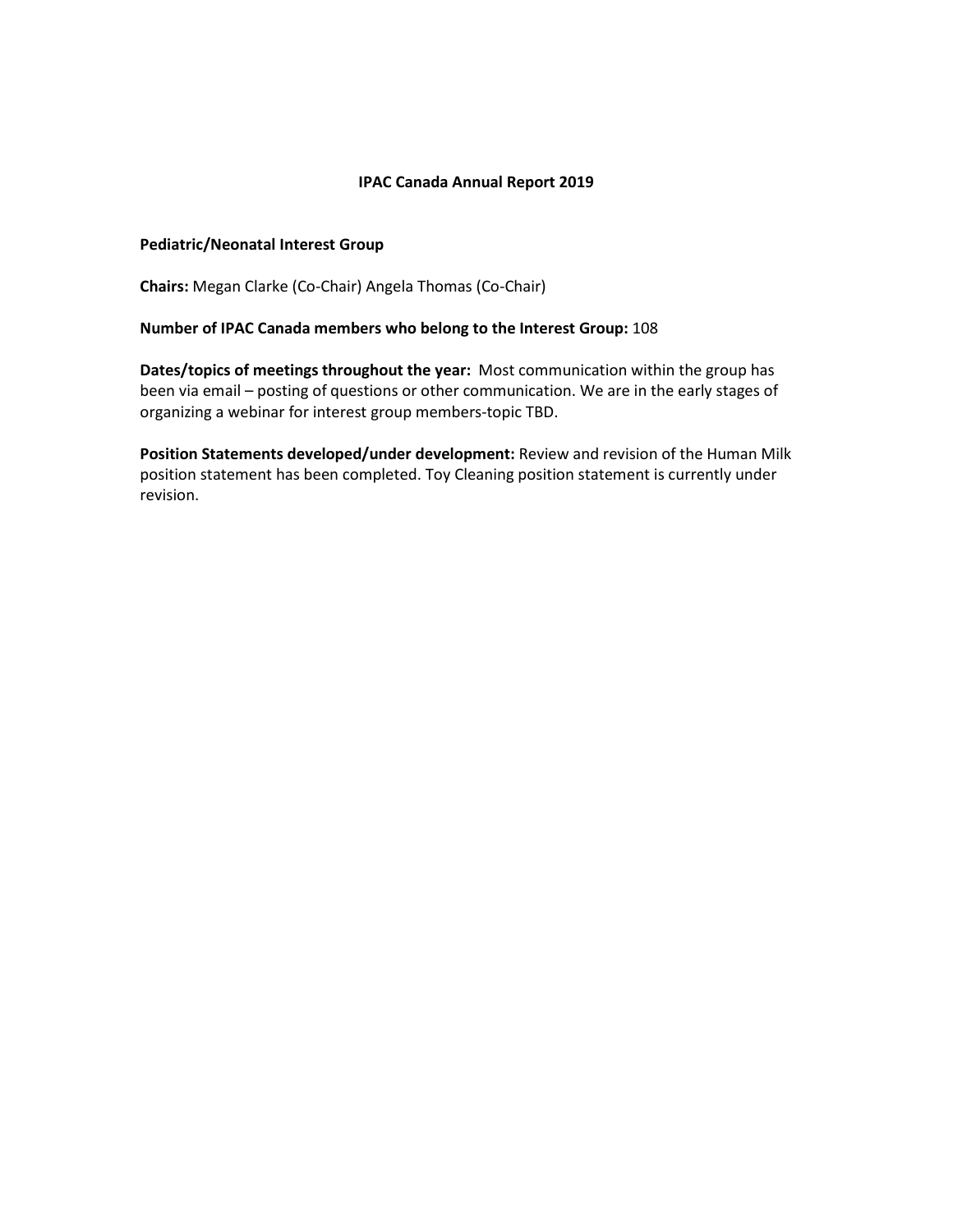# **IPAC Canada Annual Report 2019**

### **Pediatric/Neonatal Interest Group**

**Chairs:** Megan Clarke (Co-Chair) Angela Thomas (Co-Chair)

# **Number of IPAC Canada members who belong to the Interest Group:** 108

**Dates/topics of meetings throughout the year:** Most communication within the group has been via email – posting of questions or other communication. We are in the early stages of organizing a webinar for interest group members-topic TBD.

**Position Statements developed/under development:** Review and revision of the Human Milk position statement has been completed. Toy Cleaning position statement is currently under revision.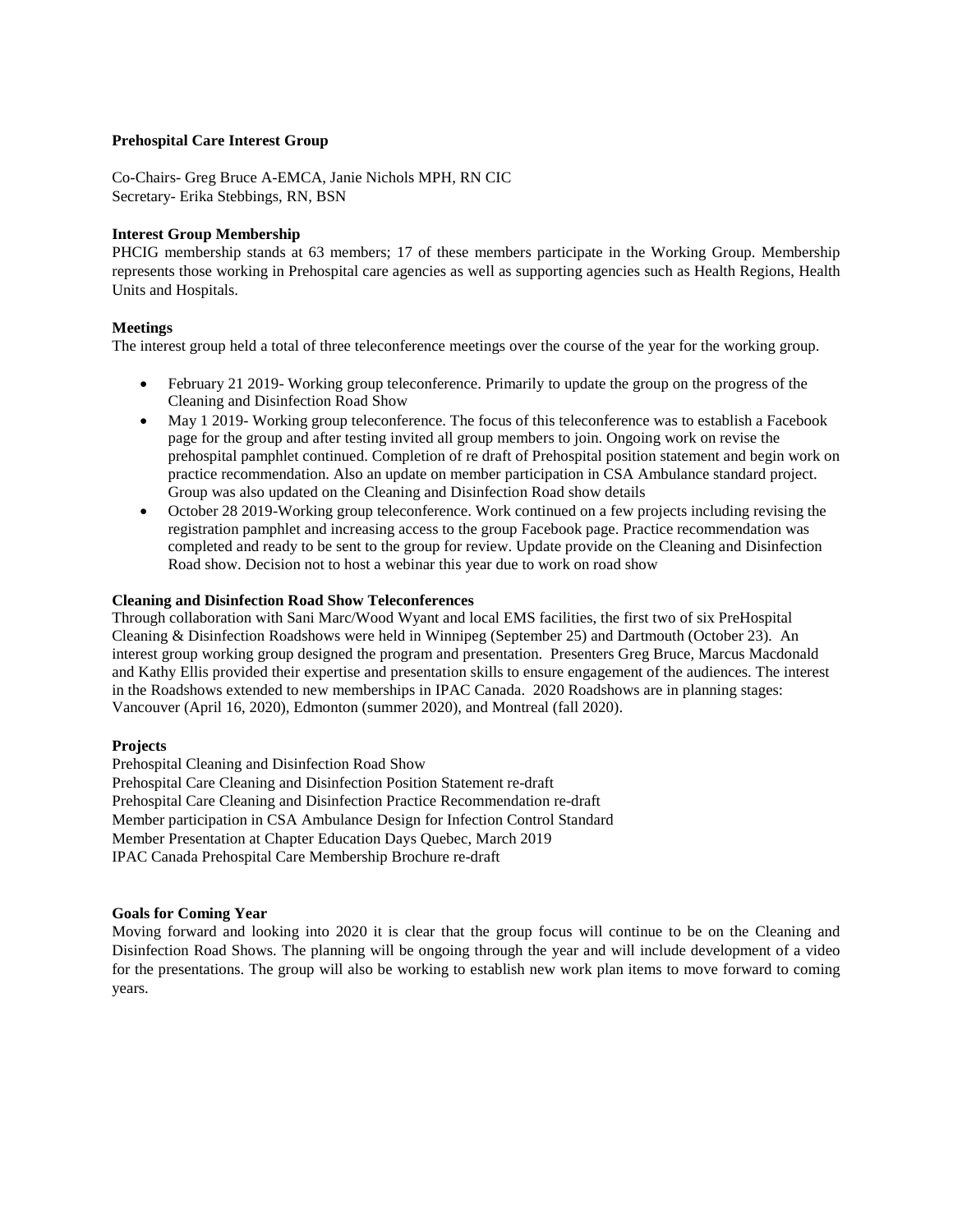### **Prehospital Care Interest Group**

Co-Chairs- Greg Bruce A-EMCA, Janie Nichols MPH, RN CIC Secretary- Erika Stebbings, RN, BSN

### **Interest Group Membership**

PHCIG membership stands at 63 members; 17 of these members participate in the Working Group. Membership represents those working in Prehospital care agencies as well as supporting agencies such as Health Regions, Health Units and Hospitals.

### **Meetings**

The interest group held a total of three teleconference meetings over the course of the year for the working group.

- February 21 2019- Working group teleconference. Primarily to update the group on the progress of the Cleaning and Disinfection Road Show
- May 1 2019- Working group teleconference. The focus of this teleconference was to establish a Facebook page for the group and after testing invited all group members to join. Ongoing work on revise the prehospital pamphlet continued. Completion of re draft of Prehospital position statement and begin work on practice recommendation. Also an update on member participation in CSA Ambulance standard project. Group was also updated on the Cleaning and Disinfection Road show details
- October 28 2019-Working group teleconference. Work continued on a few projects including revising the registration pamphlet and increasing access to the group Facebook page. Practice recommendation was completed and ready to be sent to the group for review. Update provide on the Cleaning and Disinfection Road show. Decision not to host a webinar this year due to work on road show

## **Cleaning and Disinfection Road Show Teleconferences**

Through collaboration with Sani Marc/Wood Wyant and local EMS facilities, the first two of six PreHospital Cleaning & Disinfection Roadshows were held in Winnipeg (September 25) and Dartmouth (October 23). An interest group working group designed the program and presentation. Presenters Greg Bruce, Marcus Macdonald and Kathy Ellis provided their expertise and presentation skills to ensure engagement of the audiences. The interest in the Roadshows extended to new memberships in IPAC Canada. 2020 Roadshows are in planning stages: Vancouver (April 16, 2020), Edmonton (summer 2020), and Montreal (fall 2020).

#### **Projects**

Prehospital Cleaning and Disinfection Road Show Prehospital Care Cleaning and Disinfection Position Statement re-draft Prehospital Care Cleaning and Disinfection Practice Recommendation re-draft Member participation in CSA Ambulance Design for Infection Control Standard Member Presentation at Chapter Education Days Quebec, March 2019 IPAC Canada Prehospital Care Membership Brochure re-draft

#### **Goals for Coming Year**

Moving forward and looking into 2020 it is clear that the group focus will continue to be on the Cleaning and Disinfection Road Shows. The planning will be ongoing through the year and will include development of a video for the presentations. The group will also be working to establish new work plan items to move forward to coming years.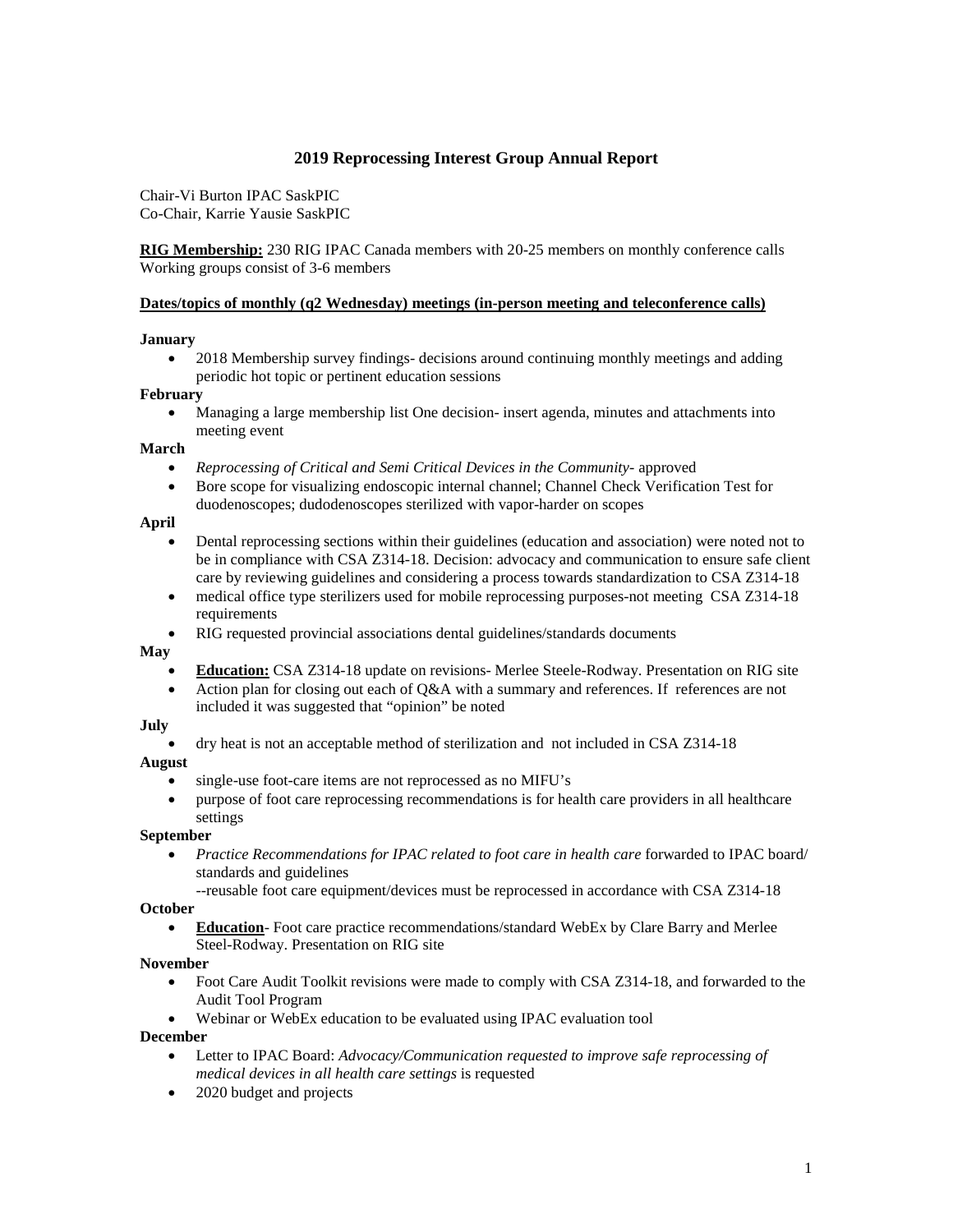# **2019 Reprocessing Interest Group Annual Report**

Chair-Vi Burton IPAC SaskPIC Co-Chair, Karrie Yausie SaskPIC

**RIG Membership:** 230 RIG IPAC Canada members with 20-25 members on monthly conference calls Working groups consist of 3-6 members

### **Dates/topics of monthly (q2 Wednesday) meetings (in-person meeting and teleconference calls)**

### **January**

• 2018 Membership survey findings-decisions around continuing monthly meetings and adding periodic hot topic or pertinent education sessions

### **February**

• Managing a large membership list One decision- insert agenda, minutes and attachments into meeting event

### **March**

- *Reprocessing of Critical and Semi Critical Devices in the Community-* approved
- Bore scope for visualizing endoscopic internal channel; Channel Check Verification Test for duodenoscopes; dudodenoscopes sterilized with vapor-harder on scopes

### **April**

- Dental reprocessing sections within their guidelines (education and association) were noted not to be in compliance with CSA Z314-18. Decision: advocacy and communication to ensure safe client care by reviewing guidelines and considering a process towards standardization to CSA Z314-18
- medical office type sterilizers used for mobile reprocessing purposes-not meeting CSA Z314-18 requirements
- RIG requested provincial associations dental guidelines/standards documents

#### **May**

- **Education:** CSA Z314-18 update on revisions- Merlee Steele-Rodway. Presentation on RIG site
- Action plan for closing out each of Q&A with a summary and references. If references are not included it was suggested that "opinion" be noted

### **July**

• dry heat is not an acceptable method of sterilization and not included in CSA Z314-18

### **August**

- single-use foot-care items are not reprocessed as no MIFU's
- purpose of foot care reprocessing recommendations is for health care providers in all healthcare settings

### **September**

- *Practice Recommendations for IPAC related to foot care in health care* forwarded to IPAC board/ standards and guidelines
	- --reusable foot care equipment/devices must be reprocessed in accordance with CSA Z314-18

## **October**

• **Education**- Foot care practice recommendations/standard WebEx by Clare Barry and Merlee Steel-Rodway. Presentation on RIG site

### **November**

- Foot Care Audit Toolkit revisions were made to comply with CSA Z314-18, and forwarded to the Audit Tool Program
- Webinar or WebEx education to be evaluated using IPAC evaluation tool

### **December**

- Letter to IPAC Board: *Advocacy/Communication requested to improve safe reprocessing of medical devices in all health care settings* is requested
- 2020 budget and projects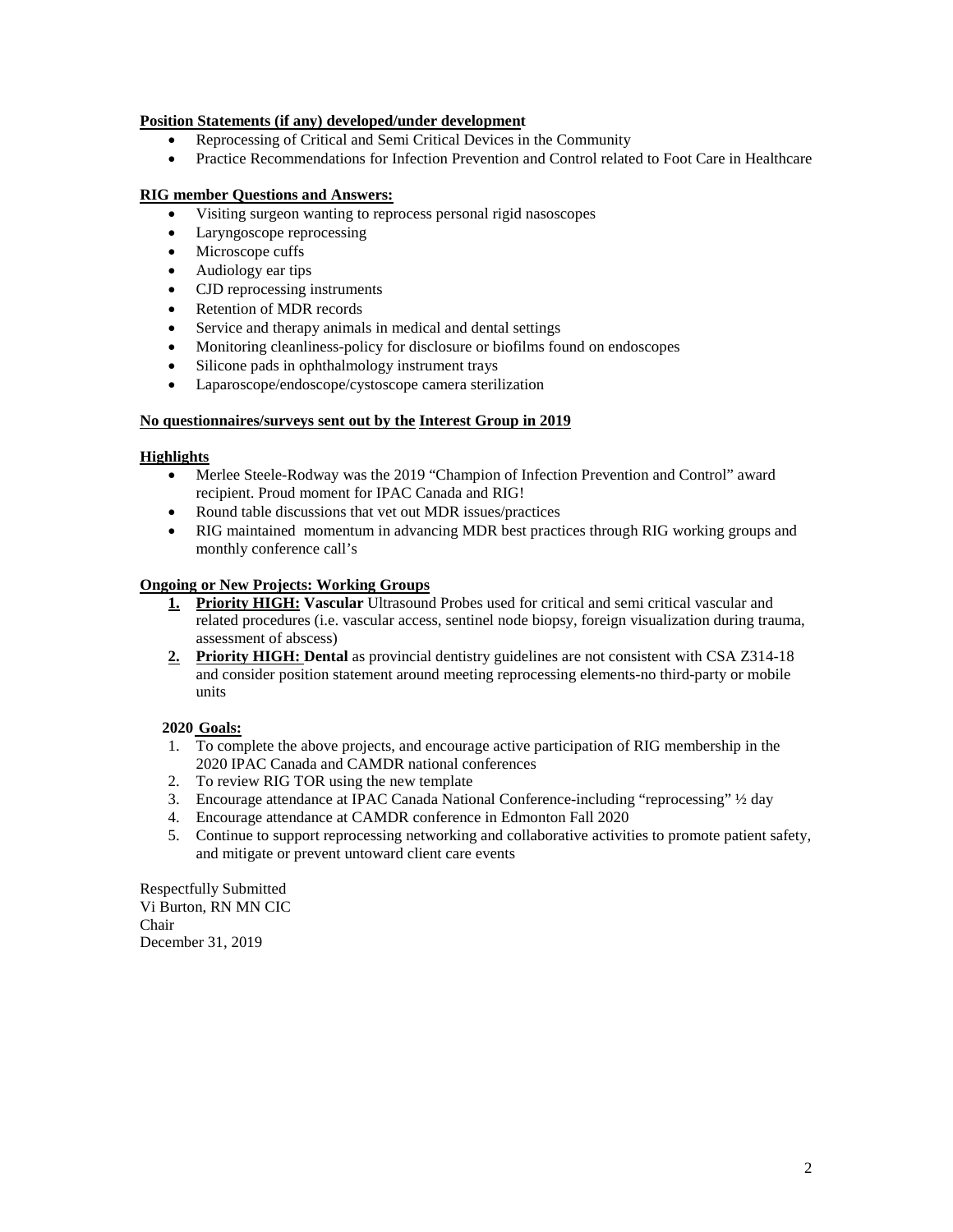## **Position Statements (if any) developed/under development**

- Reprocessing of Critical and Semi Critical Devices in the Community
- Practice Recommendations for Infection Prevention and Control related to Foot Care in Healthcare

# **RIG member Questions and Answers:**

- Visiting surgeon wanting to reprocess personal rigid nasoscopes
- Laryngoscope reprocessing
- Microscope cuffs
- Audiology ear tips
- CJD reprocessing instruments
- Retention of MDR records
- Service and therapy animals in medical and dental settings
- Monitoring cleanliness-policy for disclosure or biofilms found on endoscopes
- Silicone pads in ophthalmology instrument trays
- Laparoscope/endoscope/cystoscope camera sterilization

### **No questionnaires/surveys sent out by the Interest Group in 2019**

### **Highlights**

- Merlee Steele-Rodway was the 2019 "Champion of Infection Prevention and Control" award recipient. Proud moment for IPAC Canada and RIG!
- Round table discussions that vet out MDR issues/practices
- RIG maintained momentum in advancing MDR best practices through RIG working groups and monthly conference call's

### **Ongoing or New Projects: Working Groups**

- **1. Priority HIGH: Vascular** Ultrasound Probes used for critical and semi critical vascular and related procedures (i.e. vascular access, sentinel node biopsy, foreign visualization during trauma, assessment of abscess)
- **2. Priority HIGH: Dental** as provincial dentistry guidelines are not consistent with CSA Z314-18 and consider position statement around meeting reprocessing elements-no third-party or mobile units

### **2020 Goals:**

- 1. To complete the above projects, and encourage active participation of RIG membership in the 2020 IPAC Canada and CAMDR national conferences
- 2. To review RIG TOR using the new template
- 3. Encourage attendance at IPAC Canada National Conference-including "reprocessing" ½ day
- 4. Encourage attendance at CAMDR conference in Edmonton Fall 2020
- 5. Continue to support reprocessing networking and collaborative activities to promote patient safety, and mitigate or prevent untoward client care events

Respectfully Submitted Vi Burton, RN MN CIC Chair December 31, 2019